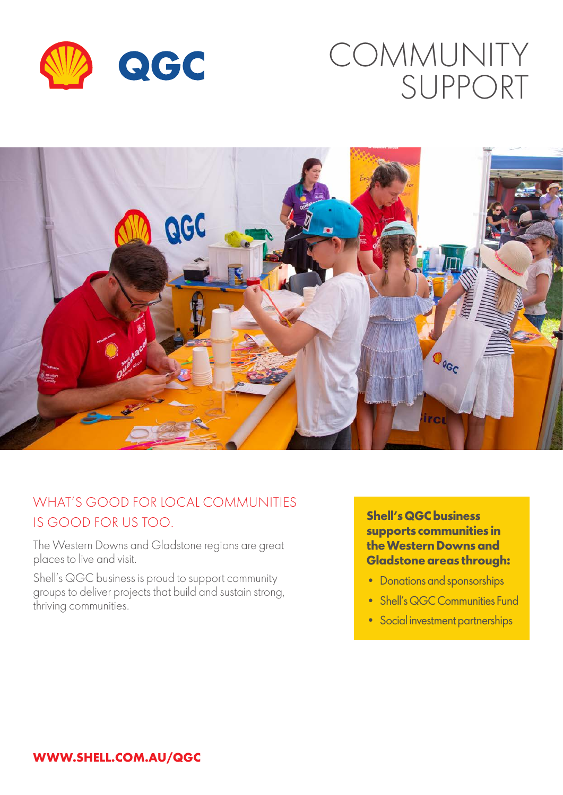

# COMMUNITY SUPPORT



## WHAT'S GOOD FOR LOCAL COMMUNITIES IS GOOD FOR US TOO.

The Western Downs and Gladstone regions are great places to live and visit.

Shell's QGC business is proud to support community groups to deliver projects that build and sustain strong, thriving communities.

**Shell's QGC business supports communities in the Western Downs and Gladstone areas through:**

- Donations and sponsorships
- Shell's QGC Communities Fund
- Social investment partnerships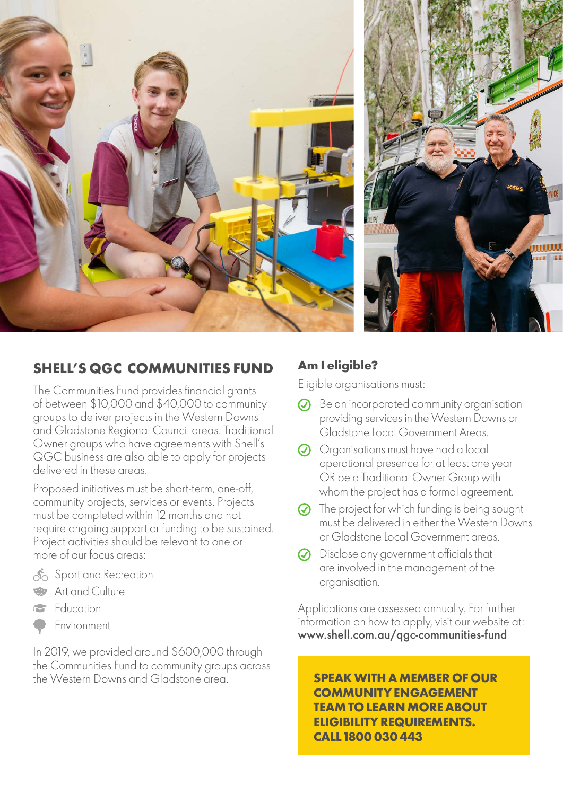



## **SHELL'S QGC COMMUNITIES FUND**

The Communities Fund provides financial grants of between \$10,000 and \$40,000 to community groups to deliver projects in the Western Downs and Gladstone Regional Council areas. Traditional Owner groups who have agreements with Shell's QGC business are also able to apply for projects delivered in these areas.

Proposed initiatives must be short-term, one-off, community projects, services or events. Projects must be completed within 12 months and not require ongoing support or funding to be sustained. Project activities should be relevant to one or more of our focus areas:

- Sport and Recreation
- Art and Culture
- Education  $\Rightarrow$
- Environment

In 2019, we provided around \$600,000 through the Communities Fund to community groups across the Western Downs and Gladstone area.

#### **Am I eligible?**

Eligible organisations must:

- $\odot$  Be an incorporated community organisation providing services in the Western Downs or Gladstone Local Government Areas.
- Organisations must have had a local operational presence for at least one year OR be a Traditional Owner Group with whom the project has a formal agreement.
- $\odot$  The project for which funding is being sought must be delivered in either the Western Downs or Gladstone Local Government areas.
- $\odot$  Disclose any government officials that are involved in the management of the organisation.

Applications are assessed annually. For further information on how to apply, visit our website at: www.shell.com.au/qgc-communities-fund

**SPEAK WITH A MEMBER OF OUR COMMUNITY ENGAGEMENT TEAM TO LEARN MORE ABOUT ELIGIBILITY REQUIREMENTS. CALL 1800 030 443**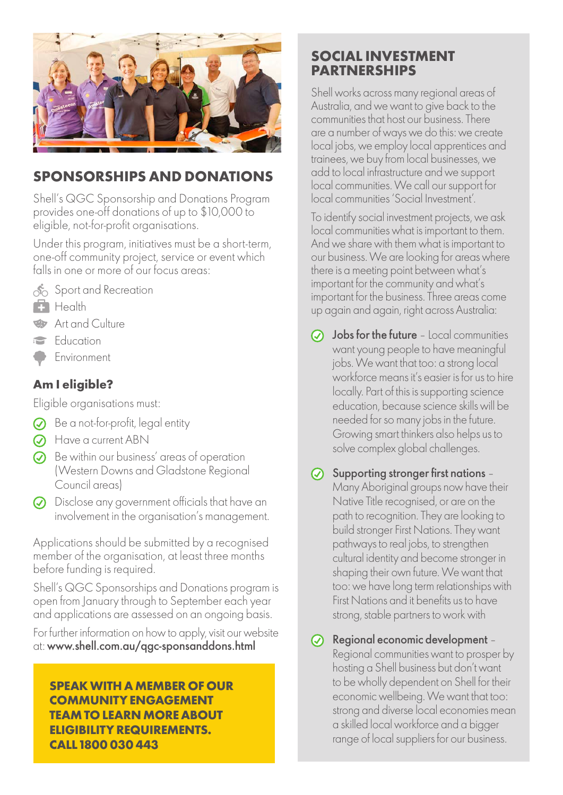

### **SPONSORSHIPS AND DONATIONS**

Shell's QGC Sponsorship and Donations Program provides one-off donations of up to \$10,000 to eligible, not-for-profit organisations.

Under this program, initiatives must be a short-term, one-off community project, service or event which falls in one or more of our focus areas:



- Sport and Recreation
- **Health**
- **Art and Culture**
- Education
- Environment

#### **Am I eligible?**

Eligible organisations must:

- $\oslash$  Be a not-for-profit, legal entity
- **A** Have a current ABN
- $\odot$  Be within our business' areas of operation (Western Downs and Gladstone Regional Council areas)
- Disclose any government officials that have an involvement in the organisation's management.

Applications should be submitted by a recognised member of the organisation, at least three months before funding is required.

Shell's QGC Sponsorships and Donations program is open from January through to September each year and applications are assessed on an ongoing basis.

For further information on how to apply, visit our website at: www.shell.com.au/qgc-sponsanddons.html

**SPEAK WITH A MEMBER OF OUR COMMUNITY ENGAGEMENT TEAM TO LEARN MORE ABOUT ELIGIBILITY REQUIREMENTS. CALL 1800 030 443**

#### **SOCIAL INVESTMENT PARTNERSHIPS**

Shell works across many regional areas of Australia, and we want to give back to the communities that host our business. There are a number of ways we do this: we create local jobs, we employ local apprentices and trainees, we buy from local businesses, we add to local infrastructure and we support local communities. We call our support for local communities 'Social Investment'.

To identify social investment projects, we ask local communities what is important to them. And we share with them what is important to our business. We are looking for areas where there is a meeting point between what's important for the community and what's important for the business. Three areas come up again and again, right across Australia:

- Jobs for the future Local communities  $\odot$ want young people to have meaningful jobs. We want that too: a strong local workforce means it's easier is for us to hire locally. Part of this is supporting science education, because science skills will be needed for so many jobs in the future. Growing smart thinkers also helps us to solve complex global challenges.
- $\odot$  Supporting stronger first nations -Many Aboriginal groups now have their Native Title recognised, or are on the path to recognition. They are looking to build stronger First Nations. They want pathways to real jobs, to strengthen cultural identity and become stronger in shaping their own future. We want that too: we have long term relationships with First Nations and it benefits us to have strong, stable partners to work with

 $\odot$  Regional economic development -Regional communities want to prosper by hosting a Shell business but don't want to be wholly dependent on Shell for their economic wellbeing. We want that too: strong and diverse local economies mean a skilled local workforce and a bigger range of local suppliers for our business.